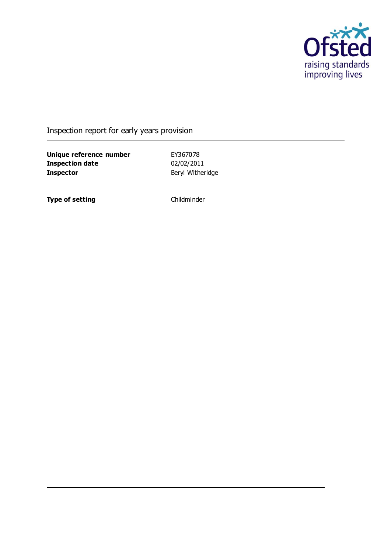

Inspection report for early years provision

**Unique reference number** EY367078<br> **Inspection date** 02/02/2011 **Inspection date Inspector** Beryl Witheridge

**Type of setting** Childminder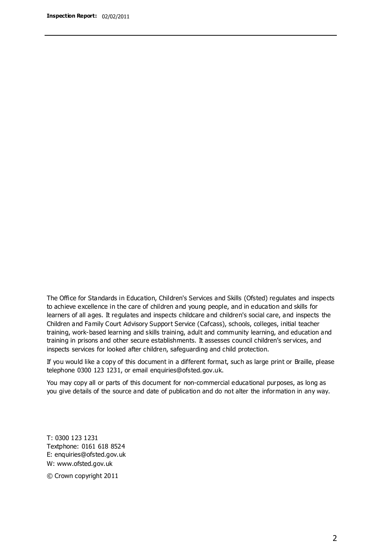The Office for Standards in Education, Children's Services and Skills (Ofsted) regulates and inspects to achieve excellence in the care of children and young people, and in education and skills for learners of all ages. It regulates and inspects childcare and children's social care, and inspects the Children and Family Court Advisory Support Service (Cafcass), schools, colleges, initial teacher training, work-based learning and skills training, adult and community learning, and education and training in prisons and other secure establishments. It assesses council children's services, and inspects services for looked after children, safeguarding and child protection.

If you would like a copy of this document in a different format, such as large print or Braille, please telephone 0300 123 1231, or email enquiries@ofsted.gov.uk.

You may copy all or parts of this document for non-commercial educational purposes, as long as you give details of the source and date of publication and do not alter the information in any way.

T: 0300 123 1231 Textphone: 0161 618 8524 E: enquiries@ofsted.gov.uk W: [www.ofsted.gov.uk](http://www.ofsted.gov.uk/)

© Crown copyright 2011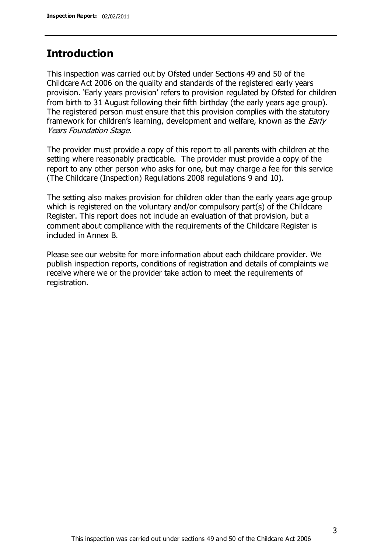# **Introduction**

This inspection was carried out by Ofsted under Sections 49 and 50 of the Childcare Act 2006 on the quality and standards of the registered early years provision. 'Early years provision' refers to provision regulated by Ofsted for children from birth to 31 August following their fifth birthday (the early years age group). The registered person must ensure that this provision complies with the statutory framework for children's learning, development and welfare, known as the *Early* Years Foundation Stage.

The provider must provide a copy of this report to all parents with children at the setting where reasonably practicable. The provider must provide a copy of the report to any other person who asks for one, but may charge a fee for this service (The Childcare (Inspection) Regulations 2008 regulations 9 and 10).

The setting also makes provision for children older than the early years age group which is registered on the voluntary and/or compulsory part(s) of the Childcare Register. This report does not include an evaluation of that provision, but a comment about compliance with the requirements of the Childcare Register is included in Annex B.

Please see our website for more information about each childcare provider. We publish inspection reports, conditions of registration and details of complaints we receive where we or the provider take action to meet the requirements of registration.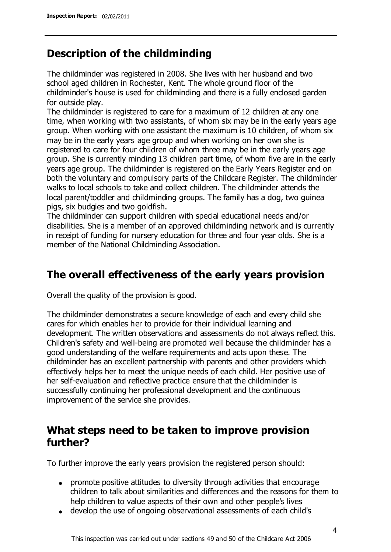# **Description of the childminding**

The childminder was registered in 2008. She lives with her husband and two school aged children in Rochester, Kent. The whole ground floor of the childminder's house is used for childminding and there is a fully enclosed garden for outside play.

The childminder is registered to care for a maximum of 12 children at any one time, when working with two assistants, of whom six may be in the early years age group. When working with one assistant the maximum is 10 children, of whom six may be in the early years age group and when working on her own she is registered to care for four children of whom three may be in the early years age group. She is currently minding 13 children part time, of whom five are in the early years age group. The childminder is registered on the Early Years Register and on both the voluntary and compulsory parts of the Childcare Register. The childminder walks to local schools to take and collect children. The childminder attends the local parent/toddler and childminding groups. The family has a dog, two guinea pigs, six budgies and two goldfish.

The childminder can support children with special educational needs and/or disabilities. She is a member of an approved childminding network and is currently in receipt of funding for nursery education for three and four year olds. She is a member of the National Childminding Association.

# **The overall effectiveness of the early years provision**

Overall the quality of the provision is good.

The childminder demonstrates a secure knowledge of each and every child she cares for which enables her to provide for their individual learning and development. The written observations and assessments do not always reflect this. Children's safety and well-being are promoted well because the childminder has a good understanding of the welfare requirements and acts upon these. The childminder has an excellent partnership with parents and other providers which effectively helps her to meet the unique needs of each child. Her positive use of her self-evaluation and reflective practice ensure that the childminder is successfully continuing her professional development and the continuous improvement of the service she provides.

# **What steps need to be taken to improve provision further?**

To further improve the early years provision the registered person should:

- promote positive attitudes to diversity through activities that encourage children to talk about similarities and differences and the reasons for them to help children to value aspects of their own and other people's lives
- develop the use of ongoing observational assessments of each child's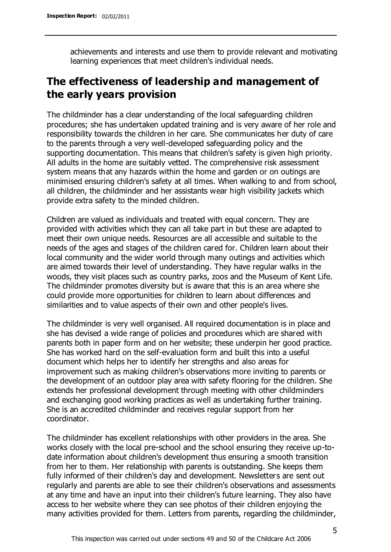achievements and interests and use them to provide relevant and motivating learning experiences that meet children's individual needs.

# **The effectiveness of leadership and management of the early years provision**

The childminder has a clear understanding of the local safeguarding children procedures; she has undertaken updated training and is very aware of her role and responsibility towards the children in her care. She communicates her duty of care to the parents through a very well-developed safeguarding policy and the supporting documentation. This means that children's safety is given high priority. All adults in the home are suitably vetted. The comprehensive risk assessment system means that any hazards within the home and garden or on outings are minimised ensuring children's safety at all times. When walking to and from school, all children, the childminder and her assistants wear high visibility jackets which provide extra safety to the minded children.

Children are valued as individuals and treated with equal concern. They are provided with activities which they can all take part in but these are adapted to meet their own unique needs. Resources are all accessible and suitable to the needs of the ages and stages of the children cared for. Children learn about their local community and the wider world through many outings and activities which are aimed towards their level of understanding. They have regular walks in the woods, they visit places such as country parks, zoos and the Museum of Kent Life. The childminder promotes diversity but is aware that this is an area where she could provide more opportunities for children to learn about differences and similarities and to value aspects of their own and other people's lives.

The childminder is very well organised. All required documentation is in place and she has devised a wide range of policies and procedures which are shared with parents both in paper form and on her website; these underpin her good practice. She has worked hard on the self-evaluation form and built this into a useful document which helps her to identify her strengths and also areas for improvement such as making children's observations more inviting to parents or the development of an outdoor play area with safety flooring for the children. She extends her professional development through meeting with other childminders and exchanging good working practices as well as undertaking further training. She is an accredited childminder and receives regular support from her coordinator.

The childminder has excellent relationships with other providers in the area. She works closely with the local pre-school and the school ensuring they receive up-todate information about children's development thus ensuring a smooth transition from her to them. Her relationship with parents is outstanding. She keeps them fully informed of their children's day and development. Newsletters are sent out regularly and parents are able to see their children's observations and assessments at any time and have an input into their children's future learning. They also have access to her website where they can see photos of their children enjoying the many activities provided for them. Letters from parents, regarding the childminder,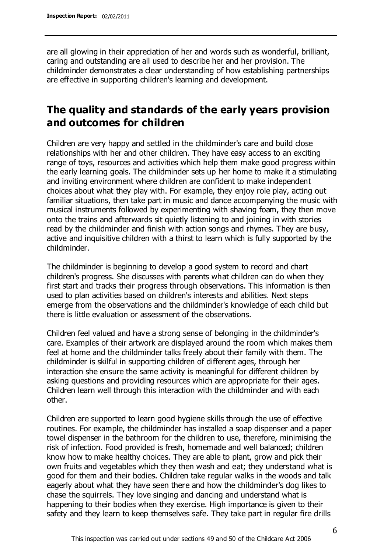are all glowing in their appreciation of her and words such as wonderful, brilliant, caring and outstanding are all used to describe her and her provision. The childminder demonstrates a clear understanding of how establishing partnerships are effective in supporting children's learning and development.

# **The quality and standards of the early years provision and outcomes for children**

Children are very happy and settled in the childminder's care and build close relationships with her and other children. They have easy access to an exciting range of toys, resources and activities which help them make good progress within the early learning goals. The childminder sets up her home to make it a stimulating and inviting environment where children are confident to make independent choices about what they play with. For example, they enjoy role play, acting out familiar situations, then take part in music and dance accompanying the music with musical instruments followed by experimenting with shaving foam, they then move onto the trains and afterwards sit quietly listening to and joining in with stories read by the childminder and finish with action songs and rhymes. They are busy, active and inquisitive children with a thirst to learn which is fully supported by the childminder.

The childminder is beginning to develop a good system to record and chart children's progress. She discusses with parents what children can do when they first start and tracks their progress through observations. This information is then used to plan activities based on children's interests and abilities. Next steps emerge from the observations and the childminder's knowledge of each child but there is little evaluation or assessment of the observations.

Children feel valued and have a strong sense of belonging in the childminder's care. Examples of their artwork are displayed around the room which makes them feel at home and the childminder talks freely about their family with them. The childminder is skilful in supporting children of different ages, through her interaction she ensure the same activity is meaningful for different children by asking questions and providing resources which are appropriate for their ages. Children learn well through this interaction with the childminder and with each other.

Children are supported to learn good hygiene skills through the use of effective routines. For example, the childminder has installed a soap dispenser and a paper towel dispenser in the bathroom for the children to use, therefore, minimising the risk of infection. Food provided is fresh, homemade and well balanced; children know how to make healthy choices. They are able to plant, grow and pick their own fruits and vegetables which they then wash and eat; they understand what is good for them and their bodies. Children take regular walks in the woods and talk eagerly about what they have seen there and how the childminder's dog likes to chase the squirrels. They love singing and dancing and understand what is happening to their bodies when they exercise. High importance is given to their safety and they learn to keep themselves safe. They take part in regular fire drills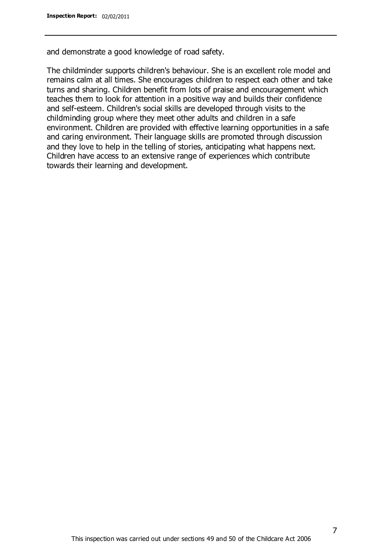and demonstrate a good knowledge of road safety.

The childminder supports children's behaviour. She is an excellent role model and remains calm at all times. She encourages children to respect each other and take turns and sharing. Children benefit from lots of praise and encouragement which teaches them to look for attention in a positive way and builds their confidence and self-esteem. Children's social skills are developed through visits to the childminding group where they meet other adults and children in a safe environment. Children are provided with effective learning opportunities in a safe and caring environment. Their language skills are promoted through discussion and they love to help in the telling of stories, anticipating what happens next. Children have access to an extensive range of experiences which contribute towards their learning and development.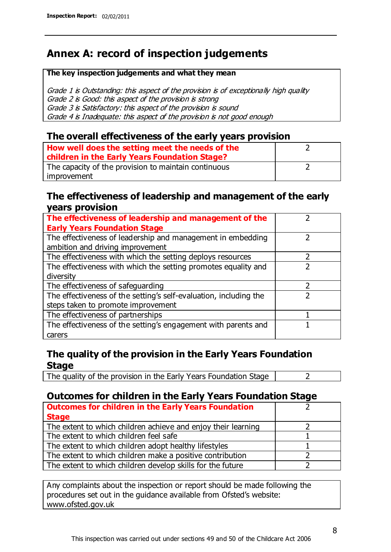# **Annex A: record of inspection judgements**

#### **The key inspection judgements and what they mean**

Grade 1 is Outstanding: this aspect of the provision is of exceptionally high quality Grade 2 is Good: this aspect of the provision is strong Grade 3 is Satisfactory: this aspect of the provision is sound Grade 4 is Inadequate: this aspect of the provision is not good enough

### **The overall effectiveness of the early years provision**

| How well does the setting meet the needs of the<br>children in the Early Years Foundation Stage? |  |
|--------------------------------------------------------------------------------------------------|--|
| The capacity of the provision to maintain continuous                                             |  |
| improvement                                                                                      |  |

### **The effectiveness of leadership and management of the early years provision**

| The effectiveness of leadership and management of the             |  |
|-------------------------------------------------------------------|--|
| <b>Early Years Foundation Stage</b>                               |  |
| The effectiveness of leadership and management in embedding       |  |
| ambition and driving improvement                                  |  |
| The effectiveness with which the setting deploys resources        |  |
| The effectiveness with which the setting promotes equality and    |  |
| diversity                                                         |  |
| The effectiveness of safeguarding                                 |  |
| The effectiveness of the setting's self-evaluation, including the |  |
| steps taken to promote improvement                                |  |
| The effectiveness of partnerships                                 |  |
| The effectiveness of the setting's engagement with parents and    |  |
| carers                                                            |  |

## **The quality of the provision in the Early Years Foundation Stage**

The quality of the provision in the Early Years Foundation Stage  $\vert$  2

## **Outcomes for children in the Early Years Foundation Stage**

| <b>Outcomes for children in the Early Years Foundation</b>    |  |
|---------------------------------------------------------------|--|
| <b>Stage</b>                                                  |  |
| The extent to which children achieve and enjoy their learning |  |
| The extent to which children feel safe                        |  |
| The extent to which children adopt healthy lifestyles         |  |
| The extent to which children make a positive contribution     |  |
| The extent to which children develop skills for the future    |  |

Any complaints about the inspection or report should be made following the procedures set out in the guidance available from Ofsted's website: www.ofsted.gov.uk